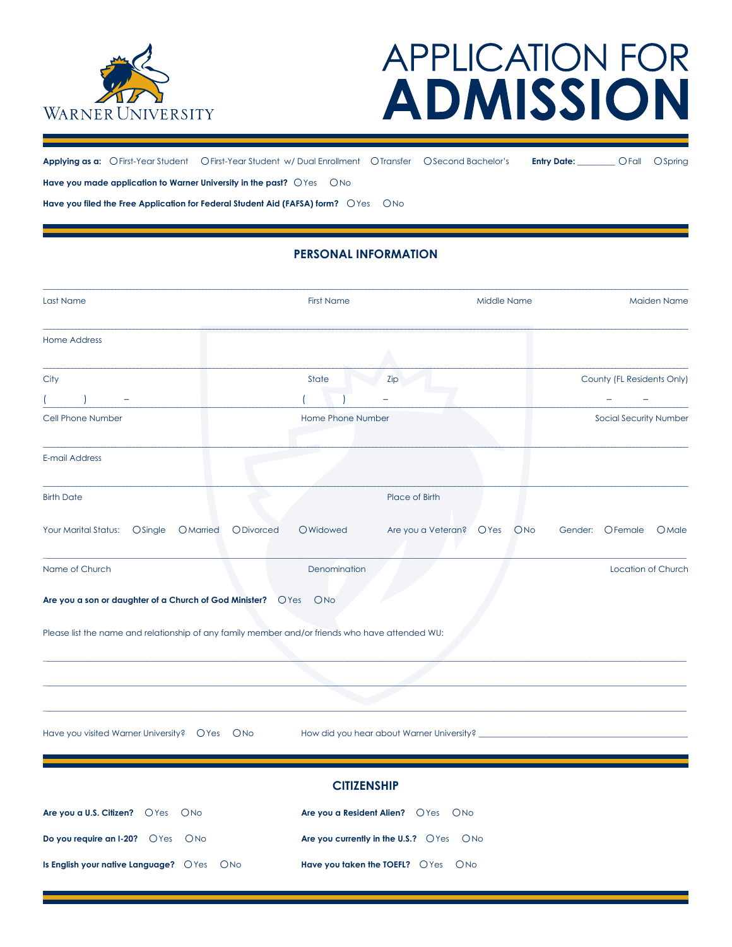

# **APPLICATION FOR ADMISSION**

**Applying as a:** ○First-Year Student ○First-Year Student w/ Dual Enrollment ○Transfer ○Second Bachelor's **Entry Date:** \_\_\_\_\_\_\_\_\_ ○Fall ○Spring Have you made application to Warner University in the past? OYes ONo **Have you filed the Free Application for Federal Student Aid (FAFSA) form?**  $OYes$   $ONo$ 

# **PERSONAL INFORMATION**

| Last Name                                                                                       | <b>First Name</b>             | Middle Name                                 | <b>Maiden Name</b>                  |  |
|-------------------------------------------------------------------------------------------------|-------------------------------|---------------------------------------------|-------------------------------------|--|
| <b>Home Address</b>                                                                             |                               |                                             |                                     |  |
| City                                                                                            | State                         | Zip                                         | County (FL Residents Only)          |  |
|                                                                                                 |                               |                                             |                                     |  |
| Cell Phone Number                                                                               | Home Phone Number             |                                             | Social Security Number              |  |
| E-mail Address                                                                                  |                               |                                             |                                     |  |
| <b>Birth Date</b>                                                                               |                               | Place of Birth                              |                                     |  |
| Your Marital Status:<br><b>O</b> Single<br>OMarried                                             | <b>O</b> Divorced<br>OWidowed | Are you a Veteran?<br>OYes                  | <b>ONO</b><br>Gender: OFemale OMale |  |
| Name of Church                                                                                  | Denomination                  |                                             | Location of Church                  |  |
| Are you a son or daughter of a Church of God Minister? OYes ONo                                 |                               |                                             |                                     |  |
| Please list the name and relationship of any family member and/or friends who have attended WU: |                               |                                             |                                     |  |
|                                                                                                 |                               |                                             |                                     |  |
|                                                                                                 |                               |                                             |                                     |  |
| Have you visited Warner University? OYes ONo                                                    |                               | How did you hear about Warner University? _ |                                     |  |
|                                                                                                 |                               |                                             |                                     |  |
|                                                                                                 | <b>CITIZENSHIP</b>            |                                             |                                     |  |
| Are you a U.S. Citizen? OYes ONo                                                                |                               | Are you a Resident Alien? OYes ONo          |                                     |  |
| Do you require an I-20? O Yes O No                                                              |                               | Are you currently in the U.S.? OYes ONo     |                                     |  |
| Is English your native Language? OYes ONo                                                       |                               | Have you taken the TOEFL? OYes ONo          |                                     |  |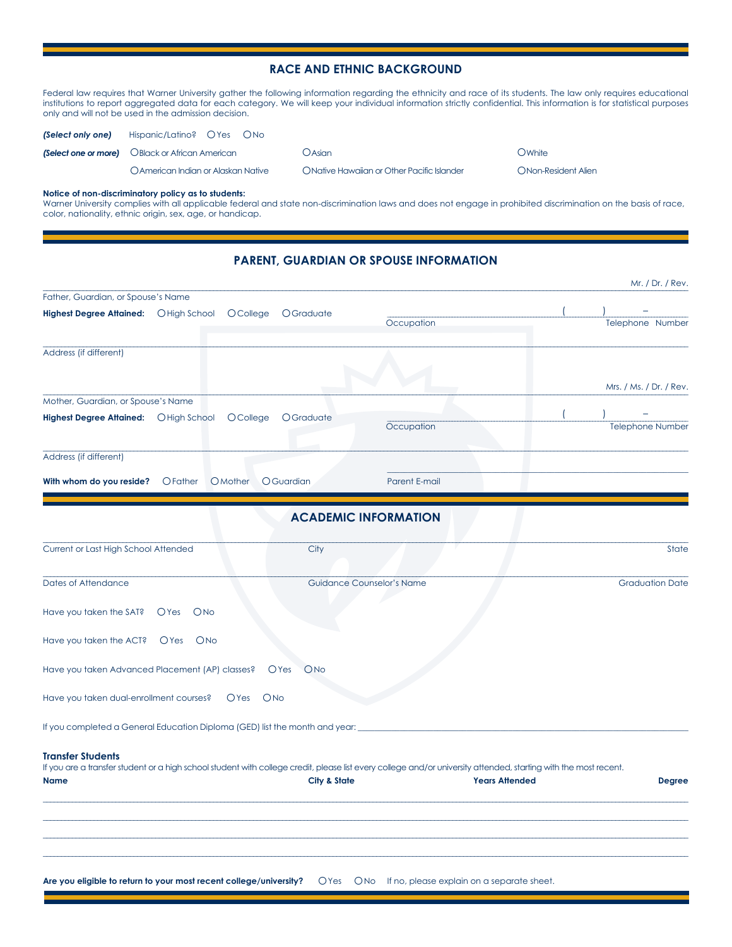## **RACE AND ETHNIC BACKGROUND**

Federal law requires that Warner University gather the following information regarding the ethnicity and race of its students. The law only requires educational institutions to report aggregated data for each category. We will keep your individual information strictly confidential. This information is for statistical purposes only and will not be used in the admission decision.

| (Select only one) | Hispanic/Latino? OYes ONo                              |                                            |                            |
|-------------------|--------------------------------------------------------|--------------------------------------------|----------------------------|
|                   | <b>(Select one or more)</b> OBlack or African American | OAsian                                     | OWhite                     |
|                   | O American Indian or Alaskan Native                    | ONative Hawaiian or Other Pacific Islander | <b>ONon-Resident Alien</b> |

### **Notice of non-discriminatory policy as to students:**

Warner University complies with all applicable federal and state non-discrimination laws and does not engage in prohibited discrimination on the basis of race, color, nationality, ethnic origin, sex, age, or handicap.

## **PARENT, GUARDIAN OR SPOUSE INFORMATION**

|                                                                                                                                                                                              |                                  |               |                       | Mr. / Dr. / Rev.        |
|----------------------------------------------------------------------------------------------------------------------------------------------------------------------------------------------|----------------------------------|---------------|-----------------------|-------------------------|
| Father, Guardian, or Spouse's Name                                                                                                                                                           |                                  |               |                       |                         |
| Highest Degree Attained:  OHigh School  OCollege                                                                                                                                             | <b>O</b> Graduate                | Occupation    |                       | Telephone Number        |
| Address (if different)                                                                                                                                                                       |                                  |               |                       |                         |
|                                                                                                                                                                                              |                                  |               |                       | Mrs. / Ms. / Dr. / Rev. |
| Mother, Guardian, or Spouse's Name                                                                                                                                                           |                                  |               |                       |                         |
| Highest Degree Attained: O High School<br>OCollege                                                                                                                                           | OGraduate                        | Occupation    |                       | <b>Telephone Number</b> |
| Address (if different)                                                                                                                                                                       |                                  |               |                       |                         |
| With whom do you reside?<br><b>O</b> Father<br>O Mother                                                                                                                                      | OGuardian                        | Parent E-mail |                       |                         |
|                                                                                                                                                                                              | <b>ACADEMIC INFORMATION</b>      |               |                       |                         |
| Current or Last High School Attended                                                                                                                                                         | City                             |               |                       | State                   |
| Dates of Attendance                                                                                                                                                                          | <b>Guidance Counselor's Name</b> |               |                       | <b>Graduation Date</b>  |
| Have you taken the SAT?<br>OYes<br>ONO                                                                                                                                                       |                                  |               |                       |                         |
| Have you taken the ACT?<br>$O$ Yes<br><b>ONO</b>                                                                                                                                             |                                  |               |                       |                         |
| Have you taken Advanced Placement (AP) classes?                                                                                                                                              | <b>O</b> Yes<br><b>ONo</b>       |               |                       |                         |
| Have you taken dual-enrollment courses?<br>OYes                                                                                                                                              | ONO                              |               |                       |                         |
| If you completed a General Education Diploma (GED) list the month and year:                                                                                                                  |                                  |               |                       |                         |
| <b>Transfer Students</b><br>If you are a transfer student or a high school student with college credit, please list every college and/or university attended, starting with the most recent. |                                  |               |                       |                         |
| <b>Name</b>                                                                                                                                                                                  | City & State                     |               | <b>Years Attended</b> | <b>Degree</b>           |
|                                                                                                                                                                                              |                                  |               |                       |                         |
|                                                                                                                                                                                              |                                  |               |                       |                         |
|                                                                                                                                                                                              |                                  |               |                       |                         |
| Are you eligible to return to your most recent college/university? OYes ONo If no, please explain on a separate sheet.                                                                       |                                  |               |                       |                         |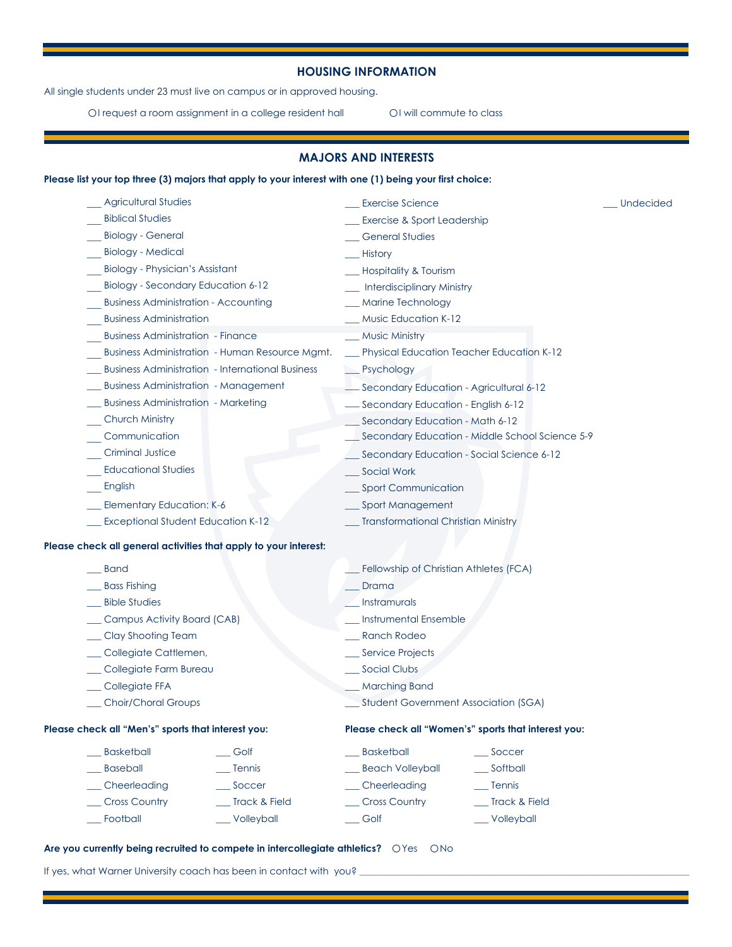## **HOUSING INFORMATION**

All single students under 23 must live on campus or in approved housing.

OI request a room assignment in a college resident hall **OI** will commute to class

# **MAJORS AND INTERESTS**

| <b>Agricultural Studies</b>                                      | <b>Exercise Science</b>                              | <b>Undecided</b> |  |
|------------------------------------------------------------------|------------------------------------------------------|------------------|--|
| <b>Biblical Studies</b>                                          | Exercise & Sport Leadership                          |                  |  |
| <b>Biology - General</b>                                         | <b>General Studies</b>                               |                  |  |
| <b>Biology - Medical</b>                                         | History                                              |                  |  |
| Biology - Physician's Assistant                                  | <b>Hospitality &amp; Tourism</b>                     |                  |  |
| Biology - Secondary Education 6-12                               | <b>Interdisciplinary Ministry</b>                    |                  |  |
| <b>Business Administration - Accounting</b>                      | Marine Technology                                    |                  |  |
| <b>Business Administration</b>                                   | <b>Music Education K-12</b>                          |                  |  |
| <b>Business Administration - Finance</b>                         | <b>Music Ministry</b>                                |                  |  |
| Business Administration - Human Resource Mgmt.                   | Physical Education Teacher Education K-12            |                  |  |
| <b>Business Administration - International Business</b>          | $\_$ Psychology                                      |                  |  |
| <b>Business Administration - Management</b>                      | Secondary Education - Agricultural 6-12              |                  |  |
| <b>Business Administration - Marketing</b>                       | Secondary Education - English 6-12                   |                  |  |
| <b>Church Ministry</b>                                           | Secondary Education - Math 6-12                      |                  |  |
| Communication                                                    | Secondary Education - Middle School Science 5-9      |                  |  |
| <b>Criminal Justice</b>                                          | Secondary Education - Social Science 6-12            |                  |  |
| <b>Educational Studies</b>                                       | Social Work                                          |                  |  |
| English                                                          | <b>Sport Communication</b>                           |                  |  |
| <b>Elementary Education: K-6</b>                                 | <b>Sport Management</b>                              |                  |  |
| <b>Exceptional Student Education K-12</b>                        | <b>Transformational Christian Ministry</b>           |                  |  |
| Please check all general activities that apply to your interest: |                                                      |                  |  |
| <b>Band</b>                                                      | Fellowship of Christian Athletes (FCA)               |                  |  |
| <b>Bass Fishing</b>                                              | Drama                                                |                  |  |
| <b>Bible Studies</b>                                             | Instramurals                                         |                  |  |
| Campus Activity Board (CAB)                                      | <b>Instrumental Ensemble</b>                         |                  |  |
| Clay Shooting Team                                               | <b>Ranch Rodeo</b>                                   |                  |  |
| Collegiate Cattlemen,                                            | <b>Service Projects</b>                              |                  |  |
| Collegiate Farm Bureau                                           | Social Clubs                                         |                  |  |
| Collegiate FFA                                                   | <b>Marching Band</b>                                 |                  |  |
| Choir/Choral Groups                                              | <b>Student Government Association (SGA)</b>          |                  |  |
| Please check all "Men's" sports that interest you:               | Please check all "Women's" sports that interest you: |                  |  |
| <b>Basketball</b><br>__ Golf                                     | <b>Basketball</b><br>Soccer                          |                  |  |
| <b>Baseball</b><br>Tennis                                        | <b>Beach Volleyball</b><br>Softball                  |                  |  |
| Soccer<br>Cheerleading                                           | Cheerleading<br>Tennis                               |                  |  |
| <b>Cross Country</b><br>_Track & Field                           | _ Cross Country<br>Track & Field                     |                  |  |
| Football<br>Volleyball                                           | Golf<br>Volleyball                                   |                  |  |

## **Are you currently being recruited to compete in intercollegiate athletics?** ○Yes ○No

If yes, what Warner University coach has been in contact with you? \_